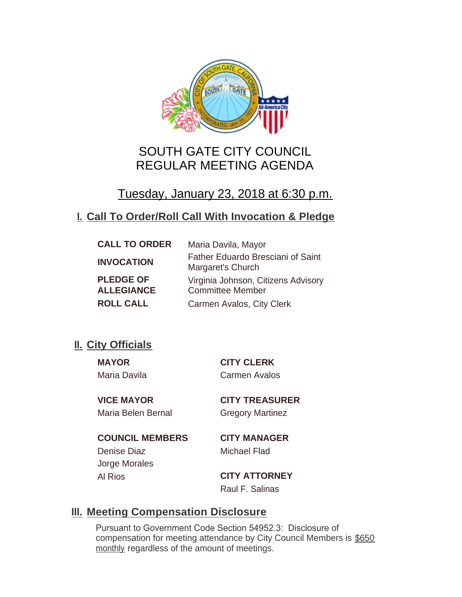

# SOUTH GATE CITY COUNCIL REGULAR MEETING AGENDA

# Tuesday, January 23, 2018 at 6:30 p.m.

## **Call To Order/Roll Call With Invocation & Pledge I.**

| <b>CALL TO ORDER</b> | Maria Davila, Mayor                                           |
|----------------------|---------------------------------------------------------------|
| <b>INVOCATION</b>    | <b>Father Eduardo Bresciani of Saint</b><br>Margaret's Church |
| <b>PLEDGE OF</b>     | Virginia Johnson, Citizens Advisory                           |
| <b>ALLEGIANCE</b>    | <b>Committee Member</b>                                       |
| <b>ROLL CALL</b>     | Carmen Avalos, City Clerk                                     |

## **II.** City Officials

Maria Davila Carmen Avalos

**MAYOR CITY CLERK**

Maria Belen Bernal Gregory Martinez

**VICE MAYOR CITY TREASURER**

**COUNCIL MEMBERS CITY MANAGER** Denise Diaz Michael Flad Jorge Morales

Al Rios **CITY ATTORNEY** Raul F. Salinas

## **Meeting Compensation Disclosure III.**

Pursuant to Government Code Section 54952.3: Disclosure of compensation for meeting attendance by City Council Members is \$650 monthly regardless of the amount of meetings.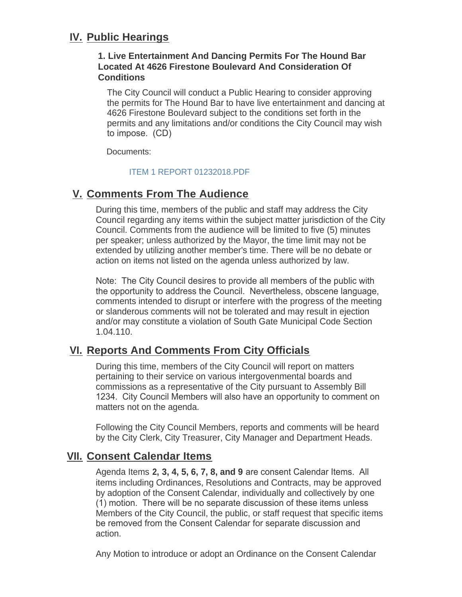## **IV. Public Hearings**

## **1. Live Entertainment And Dancing Permits For The Hound Bar Located At 4626 Firestone Boulevard And Consideration Of Conditions**

The City Council will conduct a Public Hearing to consider approving the permits for The Hound Bar to have live entertainment and dancing at 4626 Firestone Boulevard subject to the conditions set forth in the permits and any limitations and/or conditions the City Council may wish to impose. (CD)

Documents:

## [ITEM 1 REPORT 01232018.PDF](http://cityofsouthgate.org/AgendaCenter/ViewFile/Item/5359?fileID=11278)

## **Comments From The Audience V.**

During this time, members of the public and staff may address the City Council regarding any items within the subject matter jurisdiction of the City Council. Comments from the audience will be limited to five (5) minutes per speaker; unless authorized by the Mayor, the time limit may not be extended by utilizing another member's time. There will be no debate or action on items not listed on the agenda unless authorized by law.

Note: The City Council desires to provide all members of the public with the opportunity to address the Council. Nevertheless, obscene language, comments intended to disrupt or interfere with the progress of the meeting or slanderous comments will not be tolerated and may result in ejection and/or may constitute a violation of South Gate Municipal Code Section 1.04.110.

## **Reports And Comments From City Officials VI.**

During this time, members of the City Council will report on matters pertaining to their service on various intergovenmental boards and commissions as a representative of the City pursuant to Assembly Bill 1234. City Council Members will also have an opportunity to comment on matters not on the agenda.

Following the City Council Members, reports and comments will be heard by the City Clerk, City Treasurer, City Manager and Department Heads.

## **Consent Calendar Items VII.**

Agenda Items **2, 3, 4, 5, 6, 7, 8, and 9** are consent Calendar Items. All items including Ordinances, Resolutions and Contracts, may be approved by adoption of the Consent Calendar, individually and collectively by one (1) motion. There will be no separate discussion of these items unless Members of the City Council, the public, or staff request that specific items be removed from the Consent Calendar for separate discussion and action.

Any Motion to introduce or adopt an Ordinance on the Consent Calendar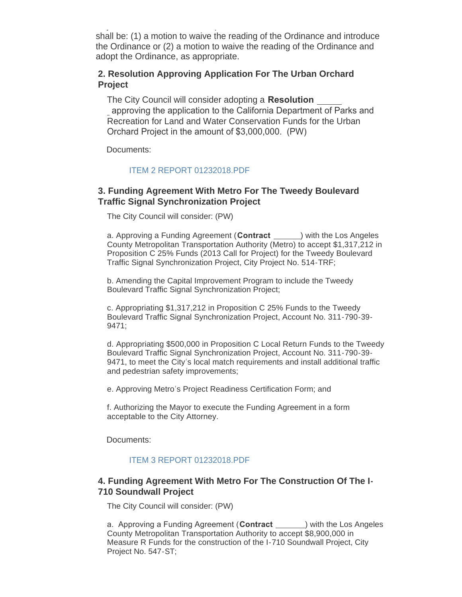$A_{\rm eff}$  Motion to introduce or adopt an  $\mathcal{A}_{\rm eff}$  and  $\mathcal{A}_{\rm eff}$  and  $\mathcal{A}_{\rm eff}$ shall be: (1) a motion to waive the reading of the Ordinance and introduce the Ordinance or (2) a motion to waive the reading of the Ordinance and adopt the Ordinance, as appropriate.

## **2. Resolution Approving Application For The Urban Orchard Project**

The City Council will consider adopting a **Resolution**  approving the application to the California Department of Parks and Recreation for Land and Water Conservation Funds for the Urban Orchard Project in the amount of \$3,000,000. (PW)

Documents:

### [ITEM 2 REPORT 01232018.PDF](http://cityofsouthgate.org/AgendaCenter/ViewFile/Item/5360?fileID=11261)

## **3. Funding Agreement With Metro For The Tweedy Boulevard Traffic Signal Synchronization Project**

The City Council will consider: (PW)

a. Approving a Funding Agreement (Contract **1998**) with the Los Angeles County Metropolitan Transportation Authority (Metro) to accept \$1,317,212 in Proposition C 25% Funds (2013 Call for Project) for the Tweedy Boulevard Traffic Signal Synchronization Project, City Project No. 514-TRF;

b. Amending the Capital Improvement Program to include the Tweedy Boulevard Traffic Signal Synchronization Project;

c. Appropriating \$1,317,212 in Proposition C 25% Funds to the Tweedy Boulevard Traffic Signal Synchronization Project, Account No. 311-790-39- 9471;

d. Appropriating \$500,000 in Proposition C Local Return Funds to the Tweedy Boulevard Traffic Signal Synchronization Project, Account No. 311-790-39- 9471, to meet the City's local match requirements and install additional traffic and pedestrian safety improvements;

e. Approving Metro's Project Readiness Certification Form; and

f. Authorizing the Mayor to execute the Funding Agreement in a form acceptable to the City Attorney.

Documents:

#### [ITEM 3 REPORT 01232018.PDF](http://cityofsouthgate.org/AgendaCenter/ViewFile/Item/5361?fileID=11273)

## **4. Funding Agreement With Metro For The Construction Of The I-710 Soundwall Project**

The City Council will consider: (PW)

a. Approving a Funding Agreement (Contract \_\_\_\_\_\_) with the Los Angeles County Metropolitan Transportation Authority to accept \$8,900,000 in Measure R Funds for the construction of the I-710 Soundwall Project, City Project No. 547-ST;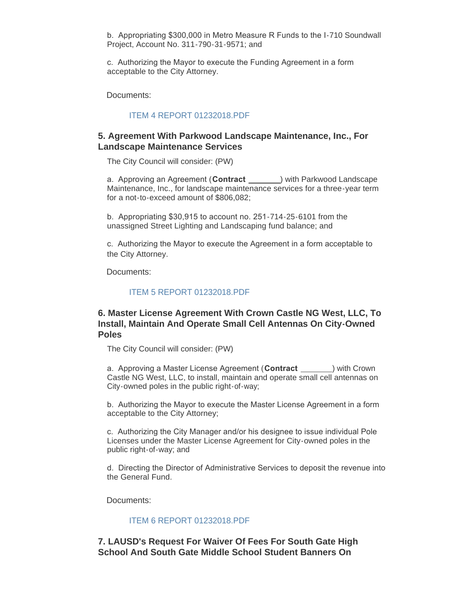b. Appropriating \$300,000 in Metro Measure R Funds to the I-710 Soundwall Project, Account No. 311-790-31-9571; and

c. Authorizing the Mayor to execute the Funding Agreement in a form acceptable to the City Attorney.

Documents:

#### [ITEM 4 REPORT 01232018.PDF](http://cityofsouthgate.org/AgendaCenter/ViewFile/Item/5362?fileID=11272)

### **5. Agreement With Parkwood Landscape Maintenance, Inc., For Landscape Maintenance Services**

The City Council will consider: (PW)

a. Approving an Agreement (Contract <u>equal</u>) with Parkwood Landscape Maintenance, Inc., for landscape maintenance services for a three-year term for a not-to-exceed amount of \$806,082;

b. Appropriating \$30,915 to account no. 251-714-25-6101 from the unassigned Street Lighting and Landscaping fund balance; and

c. Authorizing the Mayor to execute the Agreement in a form acceptable to the City Attorney.

Documents:

#### [ITEM 5 REPORT 01232018.PDF](http://cityofsouthgate.org/AgendaCenter/ViewFile/Item/5363?fileID=11263)

## **6. Master License Agreement With Crown Castle NG West, LLC, To Install, Maintain And Operate Small Cell Antennas On City-Owned Poles**

The City Council will consider: (PW)

a. Approving a Master License Agreement (Contract **incomponent**) with Crown Castle NG West, LLC, to install, maintain and operate small cell antennas on City-owned poles in the public right-of-way;

b. Authorizing the Mayor to execute the Master License Agreement in a form acceptable to the City Attorney;

c. Authorizing the City Manager and/or his designee to issue individual Pole Licenses under the Master License Agreement for City-owned poles in the public right-of-way; and

d. Directing the Director of Administrative Services to deposit the revenue into the General Fund.

Documents:

#### [ITEM 6 REPORT 01232018.PDF](http://cityofsouthgate.org/AgendaCenter/ViewFile/Item/5364?fileID=11262)

**7. LAUSD's Request For Waiver Of Fees For South Gate High School And South Gate Middle School Student Banners On**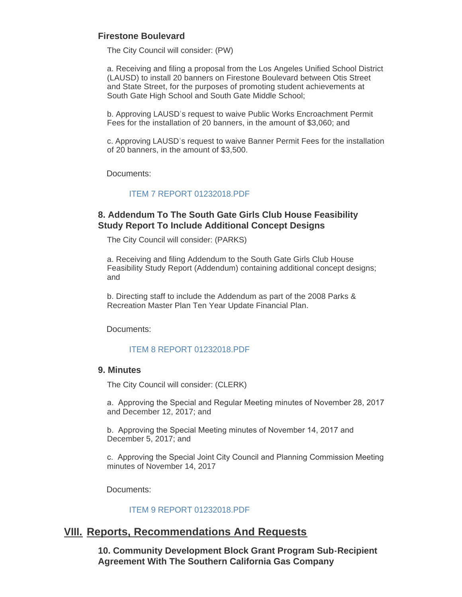## **Firestone Boulevard**

The City Council will consider: (PW)

a. Receiving and filing a proposal from the Los Angeles Unified School District (LAUSD) to install 20 banners on Firestone Boulevard between Otis Street and State Street, for the purposes of promoting student achievements at South Gate High School and South Gate Middle School;

b. Approving LAUSD's request to waive Public Works Encroachment Permit Fees for the installation of 20 banners, in the amount of \$3,060; and

c. Approving LAUSD's request to waive Banner Permit Fees for the installation of 20 banners, in the amount of \$3,500.

Documents:

#### [ITEM 7 REPORT 01232018.PDF](http://cityofsouthgate.org/AgendaCenter/ViewFile/Item/5365?fileID=11274)

## **8. Addendum To The South Gate Girls Club House Feasibility Study Report To Include Additional Concept Designs**

The City Council will consider: (PARKS)

a. Receiving and filing Addendum to the South Gate Girls Club House Feasibility Study Report (Addendum) containing additional concept designs; and

b. Directing staff to include the Addendum as part of the 2008 Parks & Recreation Master Plan Ten Year Update Financial Plan.

Documents:

#### [ITEM 8 REPORT 01232018.PDF](http://cityofsouthgate.org/AgendaCenter/ViewFile/Item/5366?fileID=11275)

#### **9. Minutes**

The City Council will consider: (CLERK)

a. Approving the Special and Regular Meeting minutes of November 28, 2017 and December 12, 2017; and

b. Approving the Special Meeting minutes of November 14, 2017 and December 5, 2017; and

c. Approving the Special Joint City Council and Planning Commission Meeting minutes of November 14, 2017

Documents:

#### [ITEM 9 REPORT 01232018.PDF](http://cityofsouthgate.org/AgendaCenter/ViewFile/Item/5347?fileID=11254)

## **Reports, Recommendations And Requests VIII.**

**10. Community Development Block Grant Program Sub-Recipient Agreement With The Southern California Gas Company**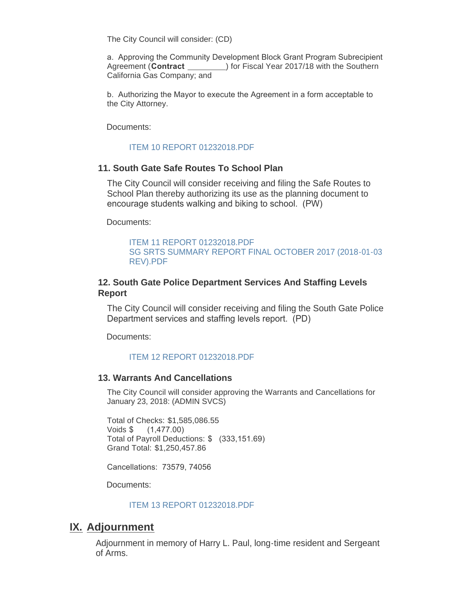The City Council will consider: (CD)

a. Approving the Community Development Block Grant Program Subrecipient Agreement (Contract  $\qquad \qquad$  ) for Fiscal Year 2017/18 with the Southern California Gas Company; and

b. Authorizing the Mayor to execute the Agreement in a form acceptable to the City Attorney.

Documents:

#### [ITEM 10 REPORT 01232018.PDF](http://cityofsouthgate.org/AgendaCenter/ViewFile/Item/5355?fileID=11255)

### **11. South Gate Safe Routes To School Plan**

The City Council will consider receiving and filing the Safe Routes to School Plan thereby authorizing its use as the planning document to encourage students walking and biking to school. (PW)

Documents:

[ITEM 11 REPORT 01232018.PDF](http://cityofsouthgate.org/AgendaCenter/ViewFile/Item/5367?fileID=11264) [SG SRTS SUMMARY REPORT FINAL OCTOBER 2017 \(2018-01-03](http://cityofsouthgate.org/AgendaCenter/ViewFile/Item/5367?fileID=11279)  REV).PDF

## **12. South Gate Police Department Services And Staffing Levels Report**

The City Council will consider receiving and filing the South Gate Police Department services and staffing levels report. (PD)

Documents:

#### [ITEM 12 REPORT 01232018.PDF](http://cityofsouthgate.org/AgendaCenter/ViewFile/Item/5368?fileID=11265)

#### **13. Warrants And Cancellations**

The City Council will consider approving the Warrants and Cancellations for January 23, 2018: (ADMIN SVCS)

Total of Checks: \$1,585,086.55 Voids \$ (1,477.00) Total of Payroll Deductions: \$ (333,151.69) Grand Total: \$1,250,457.86

Cancellations: 73579, 74056

Documents:

#### [ITEM 13 REPORT 01232018.PDF](http://cityofsouthgate.org/AgendaCenter/ViewFile/Item/5356?fileID=11256)

## **IX. Adjournment**

Adjournment in memory of Harry L. Paul, long-time resident and Sergeant of Arms.